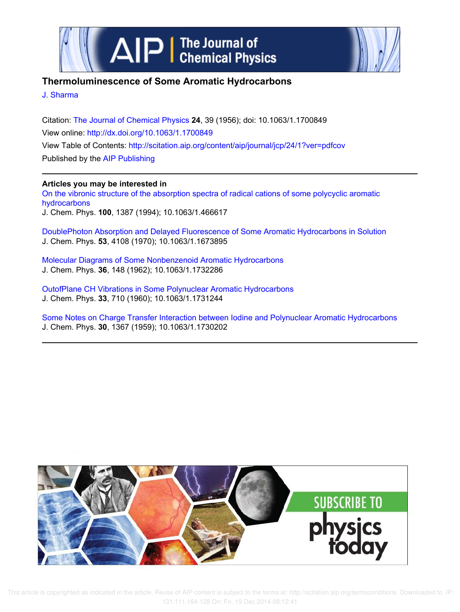



## **Thermoluminescence of Some Aromatic Hydrocarbons**

J. Sharma

Citation: The Journal of Chemical Physics **24**, 39 (1956); doi: 10.1063/1.1700849 View online: http://dx.doi.org/10.1063/1.1700849 View Table of Contents: http://scitation.aip.org/content/aip/journal/jcp/24/1?ver=pdfcov Published by the AIP Publishing

## **Articles you may be interested in**

On the vibronic structure of the absorption spectra of radical cations of some polycyclic aromatic hydrocarbons J. Chem. Phys. **100**, 1387 (1994); 10.1063/1.466617

DoublePhoton Absorption and Delayed Fluorescence of Some Aromatic Hydrocarbons in Solution J. Chem. Phys. **53**, 4108 (1970); 10.1063/1.1673895

Molecular Diagrams of Some Nonbenzenoid Aromatic Hydrocarbons J. Chem. Phys. **36**, 148 (1962); 10.1063/1.1732286

OutofPlane CH Vibrations in Some Polynuclear Aromatic Hydrocarbons J. Chem. Phys. **33**, 710 (1960); 10.1063/1.1731244

Some Notes on Charge Transfer Interaction between Iodine and Polynuclear Aromatic Hydrocarbons J. Chem. Phys. **30**, 1367 (1959); 10.1063/1.1730202



 This article is copyrighted as indicated in the article. Reuse of AIP content is subject to the terms at: http://scitation.aip.org/termsconditions. Downloaded to IP: 131.111.164.128 On: Fri, 19 Dec 2014 08:12:41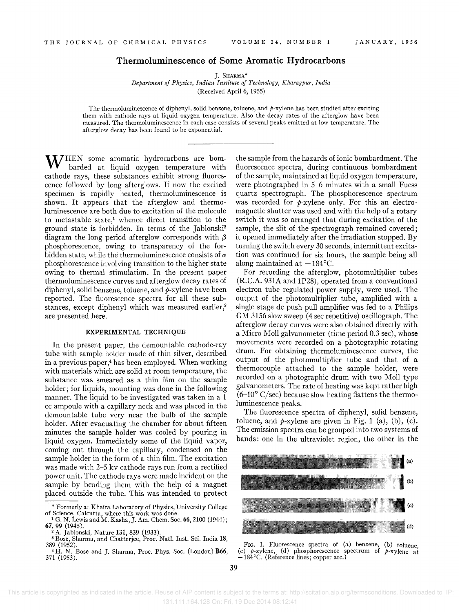## **Thermoluminescence of Some Aromatic Hydrocarbons**

J. SHARMA\* *Department of Physics, Indian Institute of Technology, Kharagpur, India*  (Received April 6, 1955)

The thermoluminescence of diphenyl, solid benzene, toluene, and  $p$ -xylene has been studied after exciting them with cathode rays at liquid oxygen temperature. Also the decay rates of the afterglow have been measured. The thermoluminescence in each case consists of several peaks emitted at low temperature. The afterglow decay has been found to be exponential.

WHEN some aromatic hydrocarbons are bombarded at liquid oxygen temperature with cathode rays, these substances exhibit strong fluorescence followed by long afterglows. If now the excited specimen is rapidly heated, thermoluminescence is shown. It appears that the afterglow and thermoluminescence are both due to excitation of the molecule to metastable state,! whence direct transition to the ground state is forbidden. In terms of the Jablonski<sup>2</sup> diagram the long period afterglow corresponds with  $\beta$ phosphorescence, owing to transparency of the forbidden state, while the thermoluminescence consists of *a*  phosphorescence involving transition to the higher state owing to thermal stimulation. In the present paper thermoluminescence curves and afterglow decay rates of diphenyl, solid benzene, toluene, and  $p$ -xylene have been reported. The fluorescence spectra for all these substances, except diphenyl which was measured earlier,<sup>3</sup> are presented here.

## EXPERIMENTAL TECHNIQUE

In the present paper, the demountable cathode-ray tube with sample holder made of thin silver, described in a previous paper,<sup>4</sup> has been employed. When working with materials which are solid at room temperature, the substance was smeared as a thin film on the sample holder; for liquids, mounting was done in the following manner. The liquid to be investigated was taken in a 1 cc ampoule with a capillary neck and was placed in the demountable tube very near the bulb of the sample holder. After evacuating the chamber for about fifteen minutes the sample holder was cooled by pouring in liquid oxygen. Immediately some of the liquid vapor, coming out through the capillary, condensed on the sample holder in the form of a thin film. The excitation was made with 2-5 kv cathode rays run from a rectified power unit. The cathode rays were made incident on the sample by bending them with the help of a magnet placed outside the tube. This was intended to protect

the sample from the hazards of ionic bombardment. The fluorescence spectra, during continuous bombardment of the sample, maintained at liquid oxygen temperature, were photographed in 5-6 minutes with a small Fuess quartz spectrograph. The phosphorescence spectrum was recorded for  $p$ -xylene only. For this an electromagnetic shutter was used and with the help of a rotary switch it was so arranged that during excitation of the sample, the slit of the spectrograph remained covered; it opened immediately after the irradiation stopped. By turning the switch every 30 seconds, intermittent excitation was continued for six hours, the sample being all along maintained at  $-184^{\circ}$ C.

For recording the afterglow, photomultiplier tubes (R.C.A. 931A and 1P28), operated from a conventional electron tube regulated power supply, were used. The output of the photomultiplier tube, amplified with a single stage dc push pull amplifier was fed to a Philips GM 3156 slow sweep (4 sec repetitive) oscillograph. The afterglow decay curves were also obtained directly with a Micro Moll galvanometer (time period 0.3 sec), whose movements were recorded on a photographic rotating drum. For obtaining thermoluminescence curves, the output of the photomultiplier tube and that of a thermocouple attached to the sample holder, were recorded on a photographic drum with two Moll type galvanometers. The rate of heating was kept rather high  $(6-10^{\circ} \text{ C/sec})$  because slow heating flattens the thermoluminescence peaks.

The fluorescence spectra of diphenyl, solid benzene, toluene, and  $p$ -xylene are given in Fig. 1 (a), (b), (c). The emission spectra can be grouped into two systems of bands: one in the ultraviolet region, the other in the



FIG. 1. Fluorescence spectra of (a) benzene, (b) toluene, (c) *p*-xylene, (d) phosphorescence spectrum of *p*-xylene at  $-184^{\circ}$ C. (Reference lines; copper arc.)

<sup>\*</sup> Formerly at Khaira Laboratory of Physics, University College of Science, Calcutta, where this work was done.<br><sup>1</sup> G. N. Lewis and M. Kasha, J. Am. Chem. Soc. 66, 2100 (1944);

<sup>67, 99 (1945).</sup>  <sup>2</sup>A. Jablonski, Nature 131, 839 (1933).

<sup>3</sup>Bose, Sharma, and Chatterjee, Proc. Natl. Inst. Sci. India 18, 389 (1952).

<sup>&</sup>lt;sup>4</sup>H. N. Bose and J. Sharma, Proc. Phys. Soc. (London) B66, 371 (1953).